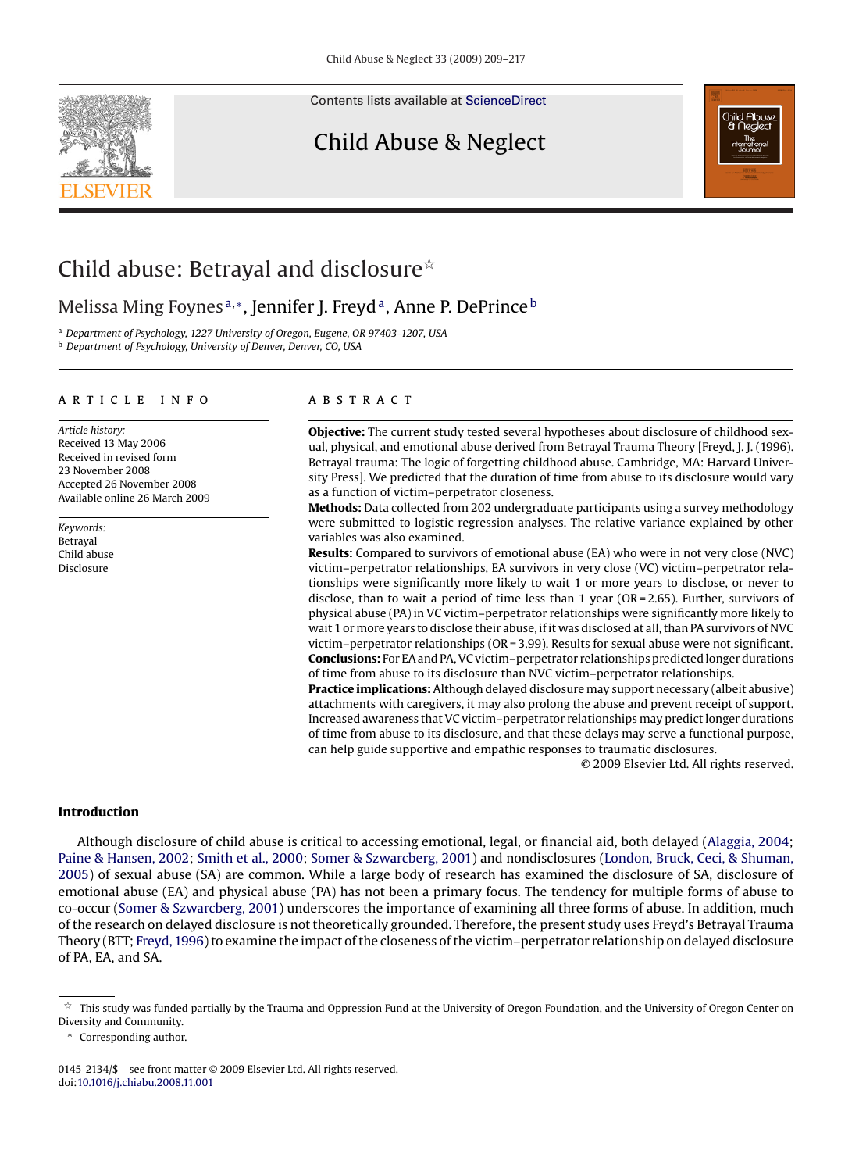Contents lists available at [ScienceDirect](http://www.sciencedirect.com/science/journal/01452134)

### Child Abuse & Neglect



## Child abuse: Betrayal and disclosure $\dot{\tilde{\mathbf{z}}}$

### Melissa Ming Foynes<sup>a,\*</sup>, Jennifer J. Freyd<sup>a</sup>, Anne P. DePrince<sup>b</sup>

<sup>a</sup> *Department of Psychology, 1227 University of Oregon, Eugene, OR 97403-1207, USA* <sup>b</sup> *Department of Psychology, University of Denver, Denver, CO, USA*

#### article info

*Article history:* Received 13 May 2006 Received in revised form 23 November 2008 Accepted 26 November 2008 Available online 26 March 2009

*Keywords:* Betrayal Child abuse **Disclosure** 

#### A B S T R A C T

**Objective:** The current study tested several hypotheses about disclosure of childhood sexual, physical, and emotional abuse derived from Betrayal Trauma Theory [Freyd, J. J. (1996). Betrayal trauma: The logic of forgetting childhood abuse. Cambridge, MA: Harvard University Press]. We predicted that the duration of time from abuse to its disclosure would vary as a function of victim–perpetrator closeness.

**Methods:** Data collected from 202 undergraduate participants using a survey methodology were submitted to logistic regression analyses. The relative variance explained by other variables was also examined.

**Results:** Compared to survivors of emotional abuse (EA) who were in not very close (NVC) victim–perpetrator relationships, EA survivors in very close (VC) victim–perpetrator relationships were significantly more likely to wait 1 or more years to disclose, or never to disclose, than to wait a period of time less than 1 year ( $OR = 2.65$ ). Further, survivors of physical abuse (PA) in VC victim–perpetrator relationships were significantly more likely to wait 1 or more years to disclose their abuse, if it was disclosed at all, than PA survivors of NVC victim–perpetrator relationships (OR = 3.99). Results for sexual abuse were not significant. **Conclusions:** For EA and PA, VC victim–perpetrator relationships predicted longer durations of time from abuse to its disclosure than NVC victim–perpetrator relationships.

**Practice implications:** Although delayed disclosure may support necessary (albeit abusive) attachments with caregivers, it may also prolong the abuse and prevent receipt of support. Increased awareness that VC victim–perpetrator relationships may predict longer durations of time from abuse to its disclosure, and that these delays may serve a functional purpose, can help guide supportive and empathic responses to traumatic disclosures.

© 2009 Elsevier Ltd. All rights reserved.

#### **Introduction**

Although disclosure of child abuse is critical to accessing emotional, legal, or financial aid, both delayed ([Alaggia, 2004;](#page--1-0) [Paine & Hansen, 2002;](#page--1-0) [Smith et al., 2000;](#page--1-0) [Somer & Szwarcberg, 2001\)](#page--1-0) and nondisclosures [\(London, Bruck, Ceci, & Shuman,](#page--1-0) [2005\)](#page--1-0) of sexual abuse (SA) are common. While a large body of research has examined the disclosure of SA, disclosure of emotional abuse (EA) and physical abuse (PA) has not been a primary focus. The tendency for multiple forms of abuse to co-occur [\(Somer & Szwarcberg, 2001\) u](#page--1-0)nderscores the importance of examining all three forms of abuse. In addition, much of the research on delayed disclosure is not theoretically grounded. Therefore, the present study uses Freyd's Betrayal Trauma Theory (BTT; [Freyd, 1996\) t](#page--1-0)o examine the impact of the closeness of the victim–perpetrator relationship on delayed disclosure of PA, EA, and SA.

t. This study was funded partially by the Trauma and Oppression Fund at the University of Oregon Foundation, and the University of Oregon Center on Diversity and Community.

<sup>∗</sup> Corresponding author.

<sup>0145-2134/\$ –</sup> see front matter © 2009 Elsevier Ltd. All rights reserved. doi:[10.1016/j.chiabu.2008.11.001](dx.doi.org/10.1016/j.chiabu.2008.11.001)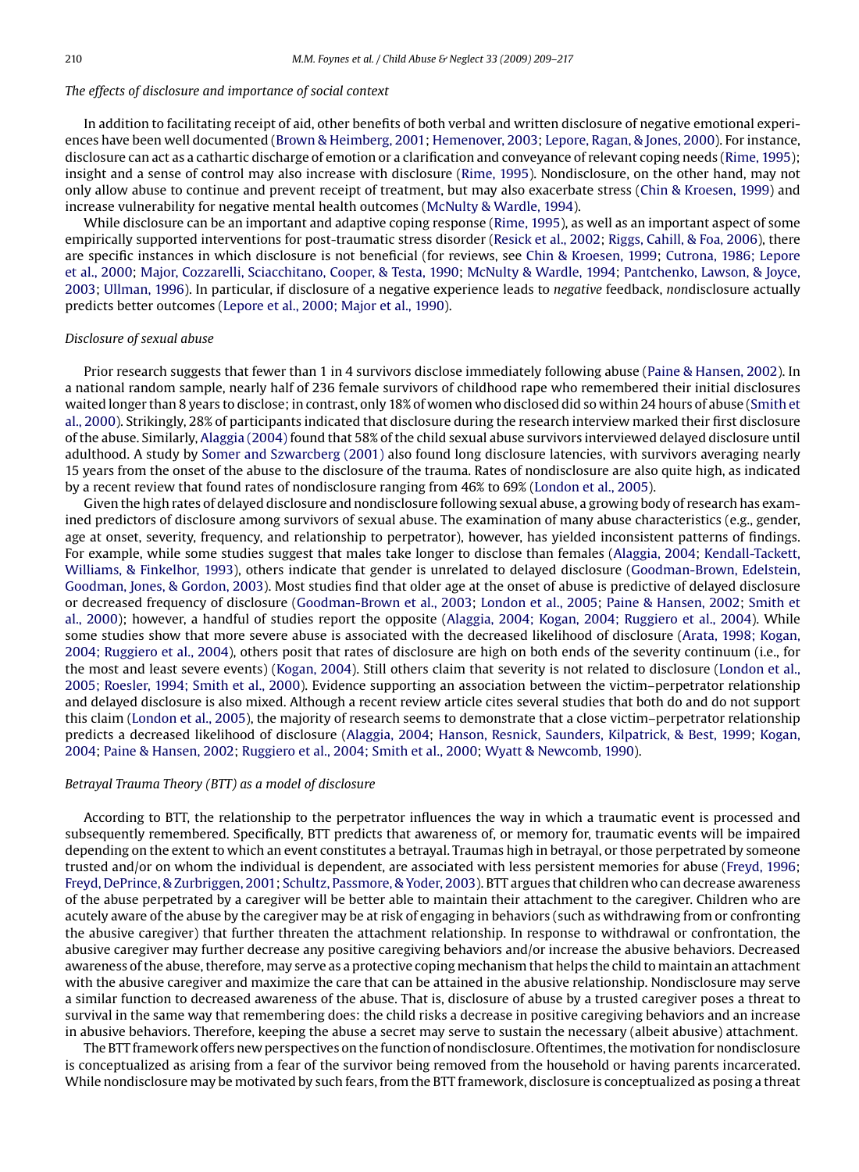#### *The effects of disclosure and importance of social context*

In addition to facilitating receipt of aid, other benefits of both verbal and written disclosure of negative emotional experiences have been well documented ([Brown & Heimberg, 2001;](#page--1-0) [Hemenover, 2003;](#page--1-0) [Lepore, Ragan, & Jones, 2000\).](#page--1-0) For instance, disclosure can act as a cathartic discharge of emotion or a clarification and conveyance of relevant coping needs ([Rime, 1995\);](#page--1-0) insight and a sense of control may also increase with disclosure ([Rime, 1995\).](#page--1-0) Nondisclosure, on the other hand, may not only allow abuse to continue and prevent receipt of treatment, but may also exacerbate stress [\(Chin & Kroesen, 1999\)](#page--1-0) and increase vulnerability for negative mental health outcomes ([McNulty & Wardle, 1994\).](#page--1-0)

While disclosure can be an important and adaptive coping response [\(Rime, 1995\),](#page--1-0) as well as an important aspect of some empirically supported interventions for post-traumatic stress disorder [\(Resick et al., 2002;](#page--1-0) [Riggs, Cahill, & Foa, 2006\),](#page--1-0) there are specific instances in which disclosure is not beneficial (for reviews, see [Chin & Kroesen, 1999;](#page--1-0) [Cutrona, 1986; Lepore](#page--1-0) [et al., 2000;](#page--1-0) [Major, Cozzarelli, Sciacchitano, Cooper, & Testa, 1990;](#page--1-0) [McNulty & Wardle, 1994;](#page--1-0) [Pantchenko, Lawson, & Joyce,](#page--1-0) [2003;](#page--1-0) [Ullman, 1996\).](#page--1-0) In particular, if disclosure of a negative experience leads to *negative* feedback, *non*disclosure actually predicts better outcomes ([Lepore et al., 2000; Major et al., 1990\).](#page--1-0)

#### *Disclosure of sexual abuse*

Prior research suggests that fewer than 1 in 4 survivors disclose immediately following abuse ([Paine & Hansen, 2002\).](#page--1-0) In a national random sample, nearly half of 236 female survivors of childhood rape who remembered their initial disclosures waited longer than 8 years to disclose; in contrast, only 18% of women who disclosed did so within 24 hours of abuse [\(Smith et](#page--1-0) [al., 2000\).](#page--1-0) Strikingly, 28% of participants indicated that disclosure during the research interview marked their first disclosure of the abuse. Similarly, [Alaggia \(2004\)](#page--1-0) found that 58% of the child sexual abuse survivors interviewed delayed disclosure until adulthood. A study by [Somer and Szwarcberg \(2001\)](#page--1-0) also found long disclosure latencies, with survivors averaging nearly 15 years from the onset of the abuse to the disclosure of the trauma. Rates of nondisclosure are also quite high, as indicated by a recent review that found rates of nondisclosure ranging from 46% to 69% ([London et al., 2005\).](#page--1-0)

Given the high rates of delayed disclosure and nondisclosure following sexual abuse, a growing body of research has examined predictors of disclosure among survivors of sexual abuse. The examination of many abuse characteristics (e.g., gender, age at onset, severity, frequency, and relationship to perpetrator), however, has yielded inconsistent patterns of findings. For example, while some studies suggest that males take longer to disclose than females ([Alaggia, 2004;](#page--1-0) [Kendall-Tackett,](#page--1-0) [Williams, & Finkelhor, 1993\),](#page--1-0) others indicate that gender is unrelated to delayed disclosure [\(Goodman-Brown, Edelstein,](#page--1-0) [Goodman, Jones, & Gordon, 2003\).](#page--1-0) Most studies find that older age at the onset of abuse is predictive of delayed disclosure or decreased frequency of disclosure [\(Goodman-Brown et al., 2003;](#page--1-0) [London et al., 2005;](#page--1-0) [Paine & Hansen, 2002;](#page--1-0) [Smith et](#page--1-0) [al., 2000\);](#page--1-0) however, a handful of studies report the opposite [\(Alaggia, 2004; Kogan, 2004; Ruggiero et al., 2004\).](#page--1-0) While some studies show that more severe abuse is associated with the decreased likelihood of disclosure ([Arata, 1998; Kogan,](#page--1-0) [2004; Ruggiero et al., 2004\),](#page--1-0) others posit that rates of disclosure are high on both ends of the severity continuum (i.e., for the most and least severe events) [\(Kogan, 2004\).](#page--1-0) Still others claim that severity is not related to disclosure ([London et al.,](#page--1-0) [2005; Roesler, 1994; Smith et al., 2000\).](#page--1-0) Evidence supporting an association between the victim–perpetrator relationship and delayed disclosure is also mixed. Although a recent review article cites several studies that both do and do not support this claim ([London et al., 2005\),](#page--1-0) the majority of research seems to demonstrate that a close victim–perpetrator relationship predicts a decreased likelihood of disclosure ([Alaggia, 2004;](#page--1-0) [Hanson, Resnick, Saunders, Kilpatrick, & Best, 1999;](#page--1-0) [Kogan,](#page--1-0) [2004;](#page--1-0) [Paine & Hansen, 2002;](#page--1-0) [Ruggiero et al., 2004; Smith et al., 2000;](#page--1-0) [Wyatt & Newcomb, 1990\).](#page--1-0)

#### *Betrayal Trauma Theory (BTT) as a model of disclosure*

According to BTT, the relationship to the perpetrator influences the way in which a traumatic event is processed and subsequently remembered. Specifically, BTT predicts that awareness of, or memory for, traumatic events will be impaired depending on the extent to which an event constitutes a betrayal. Traumas high in betrayal, or those perpetrated by someone trusted and/or on whom the individual is dependent, are associated with less persistent memories for abuse ([Freyd, 1996;](#page--1-0) [Freyd, DePrince, & Zurbriggen, 2001;](#page--1-0) [Schultz, Passmore, & Yoder, 2003\).](#page--1-0) BTT argues that children who can decrease awareness of the abuse perpetrated by a caregiver will be better able to maintain their attachment to the caregiver. Children who are acutely aware of the abuse by the caregiver may be at risk of engaging in behaviors (such as withdrawing from or confronting the abusive caregiver) that further threaten the attachment relationship. In response to withdrawal or confrontation, the abusive caregiver may further decrease any positive caregiving behaviors and/or increase the abusive behaviors. Decreased awareness of the abuse, therefore, may serve as a protective coping mechanism that helps the child to maintain an attachment with the abusive caregiver and maximize the care that can be attained in the abusive relationship. Nondisclosure may serve a similar function to decreased awareness of the abuse. That is, disclosure of abuse by a trusted caregiver poses a threat to survival in the same way that remembering does: the child risks a decrease in positive caregiving behaviors and an increase in abusive behaviors. Therefore, keeping the abuse a secret may serve to sustain the necessary (albeit abusive) attachment.

The BTT framework offers new perspectives on the function of nondisclosure. Oftentimes, themotivation for nondisclosure is conceptualized as arising from a fear of the survivor being removed from the household or having parents incarcerated. While nondisclosure may be motivated by such fears, from the BTT framework, disclosure is conceptualized as posing a threat